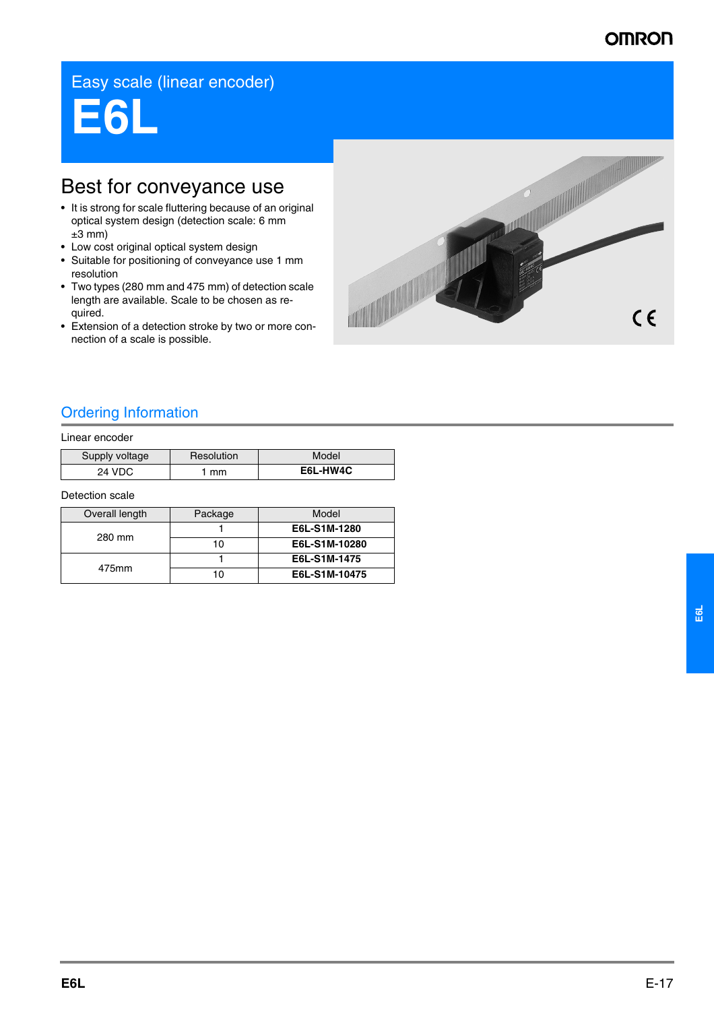# **OMRON**

# Easy scale (linear encoder)

**E6L**

# Best for conveyance use

- It is strong for scale fluttering because of an original optical system design (detection scale: 6 mm  $±3$  mm)
- Low cost original optical system design
- Suitable for positioning of conveyance use 1 mm resolution
- Two types (280 mm and 475 mm) of detection scale length are available. Scale to be chosen as required.
- Extension of a detection stroke by two or more connection of a scale is possible.



## Ordering Information

#### Linear encoder

| Supply voltage | Resolution | Model    |
|----------------|------------|----------|
| 24 VDC         | mm         | E6L-HW4C |

#### Detection scale

| Overall length | Package | Model         |
|----------------|---------|---------------|
| 280 mm         |         | E6L-S1M-1280  |
|                | 10      | E6L-S1M-10280 |
| 475mm          |         | E6L-S1M-1475  |
|                | 10      | E6L-S1M-10475 |